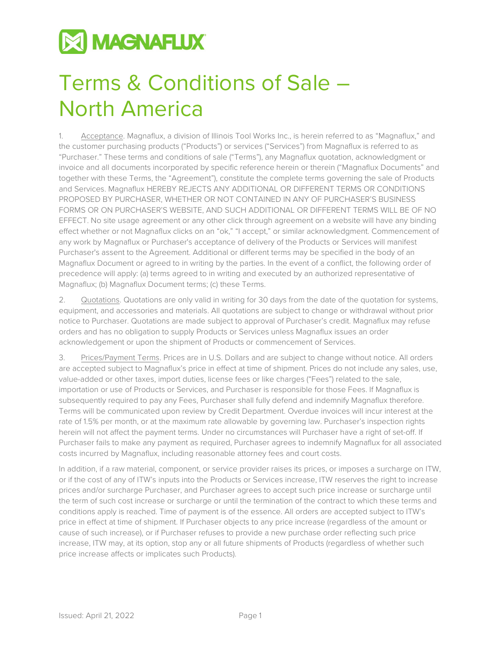

## Terms & Conditions of Sale – North America

1. Acceptance. Magnaflux, a division of Illinois Tool Works Inc., is herein referred to as "Magnaflux," and the customer purchasing products ("Products") or services ("Services") from Magnaflux is referred to as "Purchaser." These terms and conditions of sale ("Terms"), any Magnaflux quotation, acknowledgment or invoice and all documents incorporated by specific reference herein or therein ("Magnaflux Documents" and together with these Terms, the "Agreement"), constitute the complete terms governing the sale of Products and Services. Magnaflux HEREBY REJECTS ANY ADDITIONAL OR DIFFERENT TERMS OR CONDITIONS PROPOSED BY PURCHASER, WHETHER OR NOT CONTAINED IN ANY OF PURCHASER'S BUSINESS FORMS OR ON PURCHASER'S WEBSITE, AND SUCH ADDITIONAL OR DIFFERENT TERMS WILL BE OF NO EFFECT. No site usage agreement or any other click through agreement on a website will have any binding effect whether or not Magnaflux clicks on an "ok," "I accept," or similar acknowledgment. Commencement of any work by Magnaflux or Purchaser's acceptance of delivery of the Products or Services will manifest Purchaser's assent to the Agreement. Additional or different terms may be specified in the body of an Magnaflux Document or agreed to in writing by the parties. In the event of a conflict, the following order of precedence will apply: (a) terms agreed to in writing and executed by an authorized representative of Magnaflux; (b) Magnaflux Document terms; (c) these Terms.

2. Quotations. Quotations are only valid in writing for 30 days from the date of the quotation for systems, equipment, and accessories and materials. All quotations are subject to change or withdrawal without prior notice to Purchaser. Quotations are made subject to approval of Purchaser's credit. Magnaflux may refuse orders and has no obligation to supply Products or Services unless Magnaflux issues an order acknowledgement or upon the shipment of Products or commencement of Services.

3. Prices/Payment Terms. Prices are in U.S. Dollars and are subject to change without notice. All orders are accepted subject to Magnaflux's price in effect at time of shipment. Prices do not include any sales, use, value-added or other taxes, import duties, license fees or like charges ("Fees") related to the sale, importation or use of Products or Services, and Purchaser is responsible for those Fees. If Magnaflux is subsequently required to pay any Fees, Purchaser shall fully defend and indemnify Magnaflux therefore. Terms will be communicated upon review by Credit Department. Overdue invoices will incur interest at the rate of 1.5% per month, or at the maximum rate allowable by governing law. Purchaser's inspection rights herein will not affect the payment terms. Under no circumstances will Purchaser have a right of set-off. If Purchaser fails to make any payment as required, Purchaser agrees to indemnify Magnaflux for all associated costs incurred by Magnaflux, including reasonable attorney fees and court costs.

In addition, if a raw material, component, or service provider raises its prices, or imposes a surcharge on ITW, or if the cost of any of ITW's inputs into the Products or Services increase, ITW reserves the right to increase prices and/or surcharge Purchaser, and Purchaser agrees to accept such price increase or surcharge until the term of such cost increase or surcharge or until the termination of the contract to which these terms and conditions apply is reached. Time of payment is of the essence. All orders are accepted subject to ITW's price in effect at time of shipment. If Purchaser objects to any price increase (regardless of the amount or cause of such increase), or if Purchaser refuses to provide a new purchase order reflecting such price increase, ITW may, at its option, stop any or all future shipments of Products (regardless of whether such price increase affects or implicates such Products).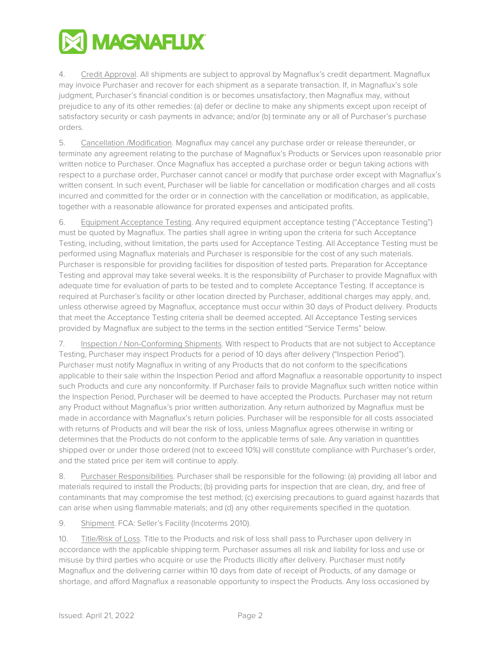

4. Credit Approval. All shipments are subject to approval by Magnaflux's credit department. Magnaflux may invoice Purchaser and recover for each shipment as a separate transaction. If, in Magnaflux's sole judgment, Purchaser's financial condition is or becomes unsatisfactory, then Magnaflux may, without prejudice to any of its other remedies: (a) defer or decline to make any shipments except upon receipt of satisfactory security or cash payments in advance; and/or (b) terminate any or all of Purchaser's purchase orders.

5. Cancellation /Modification. Magnaflux may cancel any purchase order or release thereunder, or terminate any agreement relating to the purchase of Magnaflux's Products or Services upon reasonable prior written notice to Purchaser. Once Magnaflux has accepted a purchase order or begun taking actions with respect to a purchase order, Purchaser cannot cancel or modify that purchase order except with Magnaflux's written consent. In such event, Purchaser will be liable for cancellation or modification charges and all costs incurred and committed for the order or in connection with the cancellation or modification, as applicable, together with a reasonable allowance for prorated expenses and anticipated profits.

6. Equipment Acceptance Testing. Any required equipment acceptance testing ("Acceptance Testing") must be quoted by Magnaflux. The parties shall agree in writing upon the criteria for such Acceptance Testing, including, without limitation, the parts used for Acceptance Testing. All Acceptance Testing must be performed using Magnaflux materials and Purchaser is responsible for the cost of any such materials. Purchaser is responsible for providing facilities for disposition of tested parts. Preparation for Acceptance Testing and approval may take several weeks. It is the responsibility of Purchaser to provide Magnaflux with adequate time for evaluation of parts to be tested and to complete Acceptance Testing. If acceptance is required at Purchaser's facility or other location directed by Purchaser, additional charges may apply, and, unless otherwise agreed by Magnaflux, acceptance must occur within 30 days of Product delivery. Products that meet the Acceptance Testing criteria shall be deemed accepted. All Acceptance Testing services provided by Magnaflux are subject to the terms in the section entitled "Service Terms" below.

7. Inspection / Non-Conforming Shipments. With respect to Products that are not subject to Acceptance Testing, Purchaser may inspect Products for a period of 10 days after delivery ("Inspection Period"). Purchaser must notify Magnaflux in writing of any Products that do not conform to the specifications applicable to their sale within the Inspection Period and afford Magnaflux a reasonable opportunity to inspect such Products and cure any nonconformity. If Purchaser fails to provide Magnaflux such written notice within the Inspection Period, Purchaser will be deemed to have accepted the Products. Purchaser may not return any Product without Magnaflux's prior written authorization. Any return authorized by Magnaflux must be made in accordance with Magnaflux's return policies. Purchaser will be responsible for all costs associated with returns of Products and will bear the risk of loss, unless Magnaflux agrees otherwise in writing or determines that the Products do not conform to the applicable terms of sale. Any variation in quantities shipped over or under those ordered (not to exceed 10%) will constitute compliance with Purchaser's order, and the stated price per item will continue to apply.

8. Purchaser Responsibilities. Purchaser shall be responsible for the following: (a) providing all labor and materials required to install the Products; (b) providing parts for inspection that are clean, dry, and free of contaminants that may compromise the test method; (c) exercising precautions to guard against hazards that can arise when using flammable materials; and (d) any other requirements specified in the quotation.

9. Shipment. FCA: Seller's Facility (Incoterms 2010).

10. Title/Risk of Loss. Title to the Products and risk of loss shall pass to Purchaser upon delivery in accordance with the applicable shipping term. Purchaser assumes all risk and liability for loss and use or misuse by third parties who acquire or use the Products illicitly after delivery. Purchaser must notify Magnaflux and the delivering carrier within 10 days from date of receipt of Products, of any damage or shortage, and afford Magnaflux a reasonable opportunity to inspect the Products. Any loss occasioned by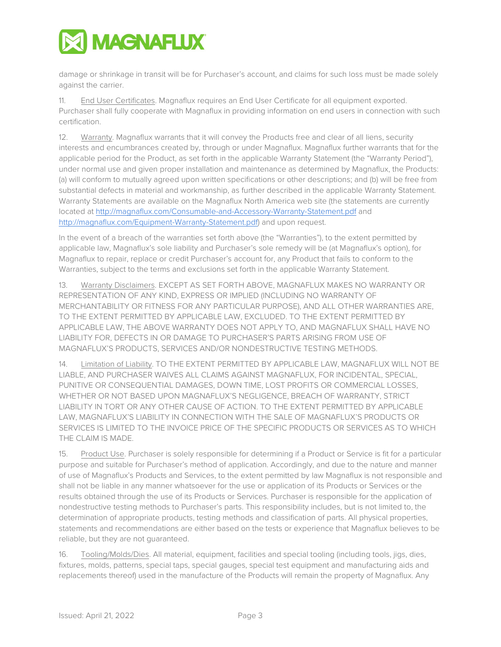

damage or shrinkage in transit will be for Purchaser's account, and claims for such loss must be made solely against the carrier.

11. End User Certificates. Magnaflux requires an End User Certificate for all equipment exported. Purchaser shall fully cooperate with Magnaflux in providing information on end users in connection with such certification.

12. Warranty. Magnaflux warrants that it will convey the Products free and clear of all liens, security interests and encumbrances created by, through or under Magnaflux. Magnaflux further warrants that for the applicable period for the Product, as set forth in the applicable Warranty Statement (the "Warranty Period"), under normal use and given proper installation and maintenance as determined by Magnaflux, the Products: (a) will conform to mutually agreed upon written specifications or other descriptions; and (b) will be free from substantial defects in material and workmanship, as further described in the applicable Warranty Statement. Warranty Statements are available on the Magnaflux North America web site (the statements are currently located at<http://magnaflux.com/Consumable-and-Accessory-Warranty-Statement.pdf> and [http://magnaflux.com/Equipment-Warranty-Statement.pdf\)](http://magnaflux.com/Equipment-Warranty-Statement.pdf) and upon request.

In the event of a breach of the warranties set forth above (the "Warranties"), to the extent permitted by applicable law, Magnaflux's sole liability and Purchaser's sole remedy will be (at Magnaflux's option), for Magnaflux to repair, replace or credit Purchaser's account for, any Product that fails to conform to the Warranties, subject to the terms and exclusions set forth in the applicable Warranty Statement.

13. Warranty Disclaimers. EXCEPT AS SET FORTH ABOVE, MAGNAFLUX MAKES NO WARRANTY OR REPRESENTATION OF ANY KIND, EXPRESS OR IMPLIED (INCLUDING NO WARRANTY OF MERCHANTABILITY OR FITNESS FOR ANY PARTICULAR PURPOSE), AND ALL OTHER WARRANTIES ARE, TO THE EXTENT PERMITTED BY APPLICABLE LAW, EXCLUDED. TO THE EXTENT PERMITTED BY APPLICABLE LAW, THE ABOVE WARRANTY DOES NOT APPLY TO, AND MAGNAFLUX SHALL HAVE NO LIABILITY FOR, DEFECTS IN OR DAMAGE TO PURCHASER'S PARTS ARISING FROM USE OF MAGNAFLUX'S PRODUCTS, SERVICES AND/OR NONDESTRUCTIVE TESTING METHODS.

14. Limitation of Liability. TO THE EXTENT PERMITTED BY APPLICABLE LAW, MAGNAFLUX WILL NOT BE LIABLE, AND PURCHASER WAIVES ALL CLAIMS AGAINST MAGNAFLUX, FOR INCIDENTAL, SPECIAL, PUNITIVE OR CONSEQUENTIAL DAMAGES, DOWN TIME, LOST PROFITS OR COMMERCIAL LOSSES, WHETHER OR NOT BASED UPON MAGNAFLUX'S NEGLIGENCE, BREACH OF WARRANTY, STRICT LIABILITY IN TORT OR ANY OTHER CAUSE OF ACTION. TO THE EXTENT PERMITTED BY APPLICABLE LAW, MAGNAFLUX'S LIABILITY IN CONNECTION WITH THE SALE OF MAGNAFLUX'S PRODUCTS OR SERVICES IS LIMITED TO THE INVOICE PRICE OF THE SPECIFIC PRODUCTS OR SERVICES AS TO WHICH THE CLAIM IS MADE.

15. Product Use. Purchaser is solely responsible for determining if a Product or Service is fit for a particular purpose and suitable for Purchaser's method of application. Accordingly, and due to the nature and manner of use of Magnaflux's Products and Services, to the extent permitted by law Magnaflux is not responsible and shall not be liable in any manner whatsoever for the use or application of its Products or Services or the results obtained through the use of its Products or Services. Purchaser is responsible for the application of nondestructive testing methods to Purchaser's parts. This responsibility includes, but is not limited to, the determination of appropriate products, testing methods and classification of parts. All physical properties, statements and recommendations are either based on the tests or experience that Magnaflux believes to be reliable, but they are not guaranteed.

16. Tooling/Molds/Dies. All material, equipment, facilities and special tooling (including tools, jigs, dies, fixtures, molds, patterns, special taps, special gauges, special test equipment and manufacturing aids and replacements thereof) used in the manufacture of the Products will remain the property of Magnaflux. Any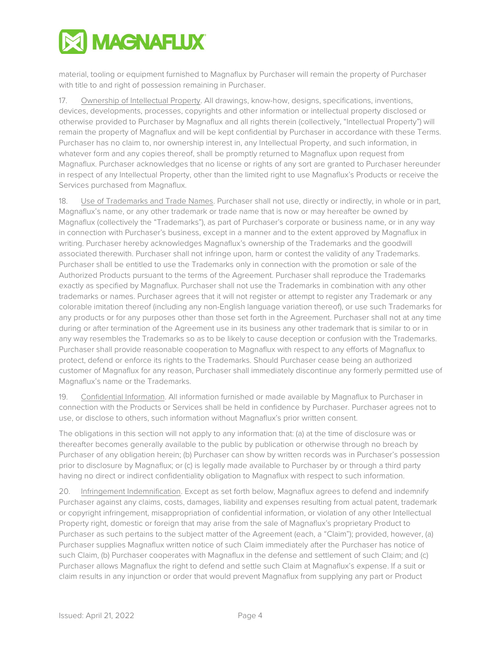

material, tooling or equipment furnished to Magnaflux by Purchaser will remain the property of Purchaser with title to and right of possession remaining in Purchaser.

17. Ownership of Intellectual Property. All drawings, know-how, designs, specifications, inventions, devices, developments, processes, copyrights and other information or intellectual property disclosed or otherwise provided to Purchaser by Magnaflux and all rights therein (collectively, "Intellectual Property") will remain the property of Magnaflux and will be kept confidential by Purchaser in accordance with these Terms. Purchaser has no claim to, nor ownership interest in, any Intellectual Property, and such information, in whatever form and any copies thereof, shall be promptly returned to Magnaflux upon request from Magnaflux. Purchaser acknowledges that no license or rights of any sort are granted to Purchaser hereunder in respect of any Intellectual Property, other than the limited right to use Magnaflux's Products or receive the Services purchased from Magnaflux.

18. Use of Trademarks and Trade Names. Purchaser shall not use, directly or indirectly, in whole or in part, Magnaflux's name, or any other trademark or trade name that is now or may hereafter be owned by Magnaflux (collectively the "Trademarks"), as part of Purchaser's corporate or business name, or in any way in connection with Purchaser's business, except in a manner and to the extent approved by Magnaflux in writing. Purchaser hereby acknowledges Magnaflux's ownership of the Trademarks and the goodwill associated therewith. Purchaser shall not infringe upon, harm or contest the validity of any Trademarks. Purchaser shall be entitled to use the Trademarks only in connection with the promotion or sale of the Authorized Products pursuant to the terms of the Agreement. Purchaser shall reproduce the Trademarks exactly as specified by Magnaflux. Purchaser shall not use the Trademarks in combination with any other trademarks or names. Purchaser agrees that it will not register or attempt to register any Trademark or any colorable imitation thereof (including any non-English language variation thereof), or use such Trademarks for any products or for any purposes other than those set forth in the Agreement. Purchaser shall not at any time during or after termination of the Agreement use in its business any other trademark that is similar to or in any way resembles the Trademarks so as to be likely to cause deception or confusion with the Trademarks. Purchaser shall provide reasonable cooperation to Magnaflux with respect to any efforts of Magnaflux to protect, defend or enforce its rights to the Trademarks. Should Purchaser cease being an authorized customer of Magnaflux for any reason, Purchaser shall immediately discontinue any formerly permitted use of Magnaflux's name or the Trademarks.

19. Confidential Information. All information furnished or made available by Magnaflux to Purchaser in connection with the Products or Services shall be held in confidence by Purchaser. Purchaser agrees not to use, or disclose to others, such information without Magnaflux's prior written consent.

The obligations in this section will not apply to any information that: (a) at the time of disclosure was or thereafter becomes generally available to the public by publication or otherwise through no breach by Purchaser of any obligation herein; (b) Purchaser can show by written records was in Purchaser's possession prior to disclosure by Magnaflux; or (c) is legally made available to Purchaser by or through a third party having no direct or indirect confidentiality obligation to Magnaflux with respect to such information.

20. Infringement Indemnification. Except as set forth below, Magnaflux agrees to defend and indemnify Purchaser against any claims, costs, damages, liability and expenses resulting from actual patent, trademark or copyright infringement, misappropriation of confidential information, or violation of any other Intellectual Property right, domestic or foreign that may arise from the sale of Magnaflux's proprietary Product to Purchaser as such pertains to the subject matter of the Agreement (each, a "Claim"); provided, however, (a) Purchaser supplies Magnaflux written notice of such Claim immediately after the Purchaser has notice of such Claim, (b) Purchaser cooperates with Magnaflux in the defense and settlement of such Claim; and (c) Purchaser allows Magnaflux the right to defend and settle such Claim at Magnaflux's expense. If a suit or claim results in any injunction or order that would prevent Magnaflux from supplying any part or Product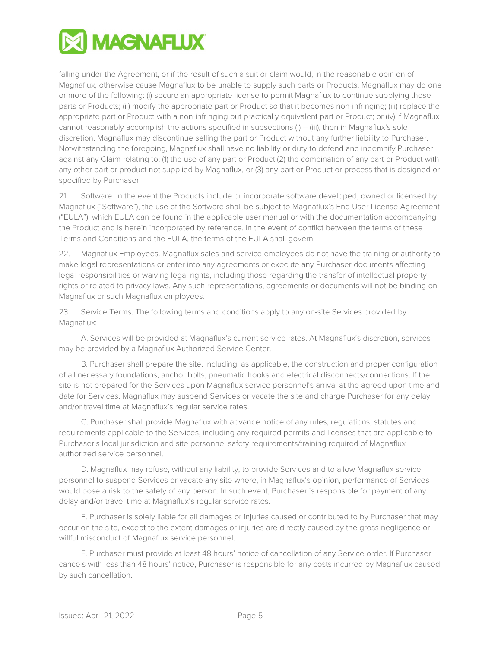

falling under the Agreement, or if the result of such a suit or claim would, in the reasonable opinion of Magnaflux, otherwise cause Magnaflux to be unable to supply such parts or Products, Magnaflux may do one or more of the following: (i) secure an appropriate license to permit Magnaflux to continue supplying those parts or Products; (ii) modify the appropriate part or Product so that it becomes non-infringing; (iii) replace the appropriate part or Product with a non-infringing but practically equivalent part or Product; or (iv) if Magnaflux cannot reasonably accomplish the actions specified in subsections (i) – (iii), then in Magnaflux's sole discretion, Magnaflux may discontinue selling the part or Product without any further liability to Purchaser. Notwithstanding the foregoing, Magnaflux shall have no liability or duty to defend and indemnify Purchaser against any Claim relating to: (1) the use of any part or Product,(2) the combination of any part or Product with any other part or product not supplied by Magnaflux, or (3) any part or Product or process that is designed or specified by Purchaser.

21. Software. In the event the Products include or incorporate software developed, owned or licensed by Magnaflux ("Software"), the use of the Software shall be subject to Magnaflux's End User License Agreement ("EULA"), which EULA can be found in the applicable user manual or with the documentation accompanying the Product and is herein incorporated by reference. In the event of conflict between the terms of these Terms and Conditions and the EULA, the terms of the EULA shall govern.

22. Magnaflux Employees. Magnaflux sales and service employees do not have the training or authority to make legal representations or enter into any agreements or execute any Purchaser documents affecting legal responsibilities or waiving legal rights, including those regarding the transfer of intellectual property rights or related to privacy laws. Any such representations, agreements or documents will not be binding on Magnaflux or such Magnaflux employees.

23. Service Terms. The following terms and conditions apply to any on-site Services provided by Magnaflux:

A. Services will be provided at Magnaflux's current service rates. At Magnaflux's discretion, services may be provided by a Magnaflux Authorized Service Center.

B. Purchaser shall prepare the site, including, as applicable, the construction and proper configuration of all necessary foundations, anchor bolts, pneumatic hooks and electrical disconnects/connections. If the site is not prepared for the Services upon Magnaflux service personnel's arrival at the agreed upon time and date for Services, Magnaflux may suspend Services or vacate the site and charge Purchaser for any delay and/or travel time at Magnaflux's regular service rates.

C. Purchaser shall provide Magnaflux with advance notice of any rules, regulations, statutes and requirements applicable to the Services, including any required permits and licenses that are applicable to Purchaser's local jurisdiction and site personnel safety requirements/training required of Magnaflux authorized service personnel.

D. Magnaflux may refuse, without any liability, to provide Services and to allow Magnaflux service personnel to suspend Services or vacate any site where, in Magnaflux's opinion, performance of Services would pose a risk to the safety of any person. In such event, Purchaser is responsible for payment of any delay and/or travel time at Magnaflux's regular service rates.

E. Purchaser is solely liable for all damages or injuries caused or contributed to by Purchaser that may occur on the site, except to the extent damages or injuries are directly caused by the gross negligence or willful misconduct of Magnaflux service personnel.

F. Purchaser must provide at least 48 hours' notice of cancellation of any Service order. If Purchaser cancels with less than 48 hours' notice, Purchaser is responsible for any costs incurred by Magnaflux caused by such cancellation.